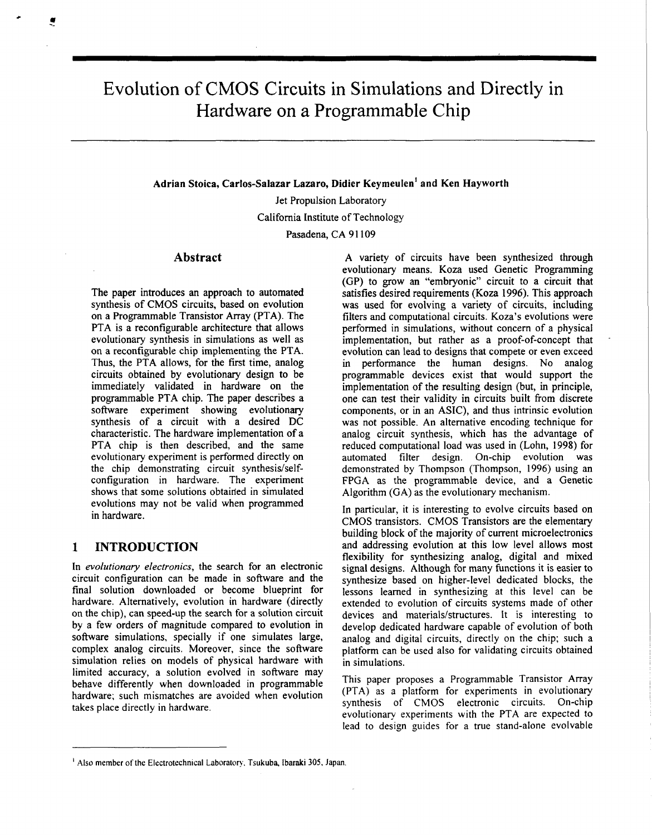# Evolution of CMOS Circuits in Simulations and Directly in Hardware on a Programmable Chip

**Adrian Stoica, Carlos-Salazar Lazaro, Didier Keymeulen' and Ken Hayworth** 

Jet Propulsion Laboratory California Institute of Technology

Pasadena, CA **9 1 109** 

### **Abstract**

The paper introduces an approach to automated synthesis of **CMOS** circuits, based on evolution on a Programmable Transistor Array (PTA). The PTA is a reconfigurable architecture that allows evolutionary synthesis in simulations as well as on a reconfigurable chip implementing the PTA. Thus, the PTA allows, for the first time, analog circuits obtained by evolutionary design **to** be immediately validated in hardware on the programmable PTA chip. The paper describes a software experiment showing evolutionary synthesis of a circuit with a desired DC characteristic. The hardware implementation of a PTA chip is then described, and the same evolutionary experiment is performed directly on the chip demonstrating circuit synthesis/selfconfiguration in hardware. The experiment shows that some solutions obtained in simulated evolutions may not be valid when programmed in hardware.

#### **1 INTRODUCTION**

In *evolutionary electronics,* the search for an electronic circuit configuration can be made in software and the final solution downloaded or become blueprint for hardware. Alternatively, evolution in hardware (directly on the chip), can speed-up the search for a solution circuit by a few orders of magnitude compared to evolution in software simulations, specially if one simulates large, complex analog circuits. Moreover, since the software simulation relies on models of physical hardware with limited accuracy, a solution evolved in software may behave differently when downloaded in programmable hardware; such mismatches are avoided when evolution takes place directly in hardware.

A variety of circuits have been synthesized through evolutionary means. Koza used Genetic Programming (GP) to grow an "embryonic" circuit to a circuit that satisfies desired requirements (Koza **1996).** This approach was used for evolving a variety of circuits, including filters and computational circuits. Koza's evolutions were performed in simulations, without concern of a physical implementation, but rather as a proof-of-concept hat evolution can lead to designs that compete or even exceed in performance the human designs. No analog programmable devices exist that would support the implementation of the resulting design (but, in principle, one can test their validity in circuits built from discrete components, or in an ASIC), and thus intrinsic evolution was not possible. An alternative encoding technique for analog circuit synthesis, which has the advantage of reduced computational load was used in (Lohn, **1998)** for automated filter design. On-chip evolution was demonstrated by Thompson (Thompson, **1996)** using an FPGA as the programmable device, and a Genetic Algorithm (GA) as the evolutionary mechanism.

In particular, it is interesting to evolve circuits based on CMOS transistors. CMOS Transistors are the elementary building block of the majority of current microelectronics and addressing evolution at this low level allows most flexibility for synthesizing analog, digital and mixed signal designs. Although for many functions it is easier to synthesize based on higher-level dedicated blocks, the lessons learned in synthesizing at this level can be extended to evolution of circuits systems made of other devices and materials/structures. It is interesting to develop dedicated hardware capable of evolution of both analog and digital circuits, directly on the chip; such a platform can be used also for validating circuits obtained in simulations.

This paper proposes a Programmable Transistor Array (PTA) as a platform for experiments in evolutionary synthesis of CMOS electronic circuits. On-chip evolutionary experiments with the PTA are expected to lead to design guides for a true stand-alone evolvable

<sup>&</sup>lt;sup>1</sup> Also member of the Electrotechnical Laboratory, Tsukuba, Ibaraki 305, Japan.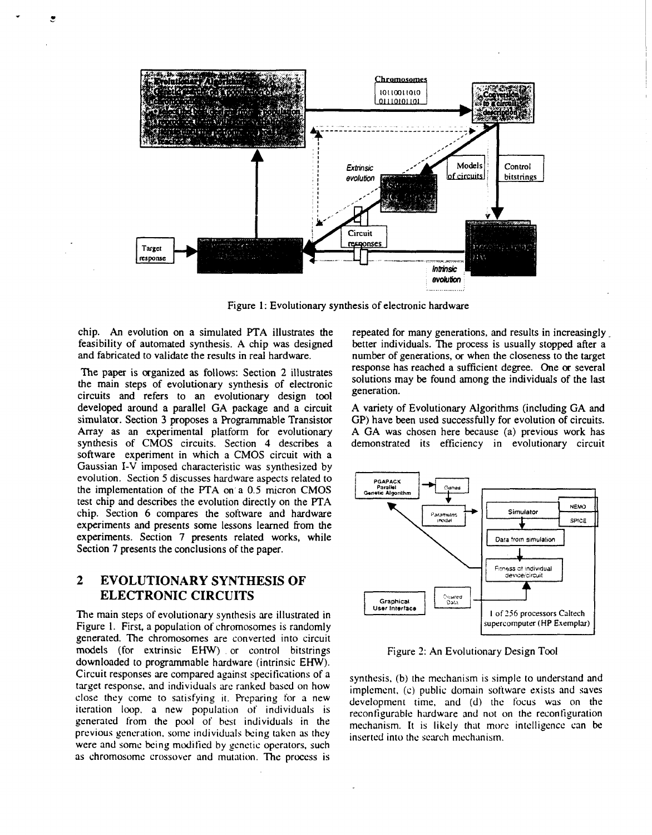

Figure 1: Evolutionary synthesis of electronic hardware

chip. **An** evolution on a simulated PTA illustrates the feasibility of automated synthesis. A chip was designed and fabricated to validate the results in real hardware.

The paper is organized as follows: Section **2** illustrates the main steps of evolutionary synthesis of electronic circuits and refers to an evolutionary design tool developed around a parallel GA package and a circuit simulator. Section **3** proposes a Programmable Transistor Array as an experimental platform for evolutionary synthesis of CMOS circuits. Section **4** describes a software experiment in which a CMOS circuit with a Gaussian I-V imposed characteristic was synthesized by evolution. Section 5 discusses hardware aspects related to the implementation of the PTA on a 0.5 micron CMOS test chip and describes the evolution directly on the **PTA**  chip. Section *6* compares the software and hardware experiments and presents some lessons learned from the experiments. Section **7** presents related works, while Section 7 presents the conclusions of the paper.

# **2 EVOLUTIONARY SYNTHESIS OF ELECTRONIC CIRCUITS**

The main steps of evolutionary synthesis are illustrated in Figure 1. First, a population of chromosomes is randomly generated. The chromosomes are converted into circuit **models** (for extrinsic EHW) . or control bitstrings downloaded to programmable hardware (intrinsic EHW). Circuit responses are compared against specifications of a target response, and individuals are ranked based on how close they come to satisfying it. Preparing for a new iteration loop, a new population of individuals is generated from the pool of best individuals in the previous generation, some individuals being taken as they were and some being modified by genetic operators, such **as** chromosome crossover and mutation. The process is

repeated for many generations, and results in increasingly better individuals. The process is usually stopped after a number of generations, *or* when the closeness to the target response has reached a sufficient degree. One *or* several solutions may be found among the individuals of the last generation.

A variety of Evolutionary Algorithms (including GA and GP) have been used successfully for evolution of circuits. A GA was chosen here because (a) previous work has demonstrated its efficiency in evolutionary circuit



Figure **2:** An Evolutionary Design Tool

synthesis, (b) the mechanism is simple to understand and implemcnt. (c) public domain software exists and saves development time, and (d) the focus was on the reconfigurable hardware and not on the reconfiguration mechanism. It is likely that more intelligence can be inserted into thc search mcchanism.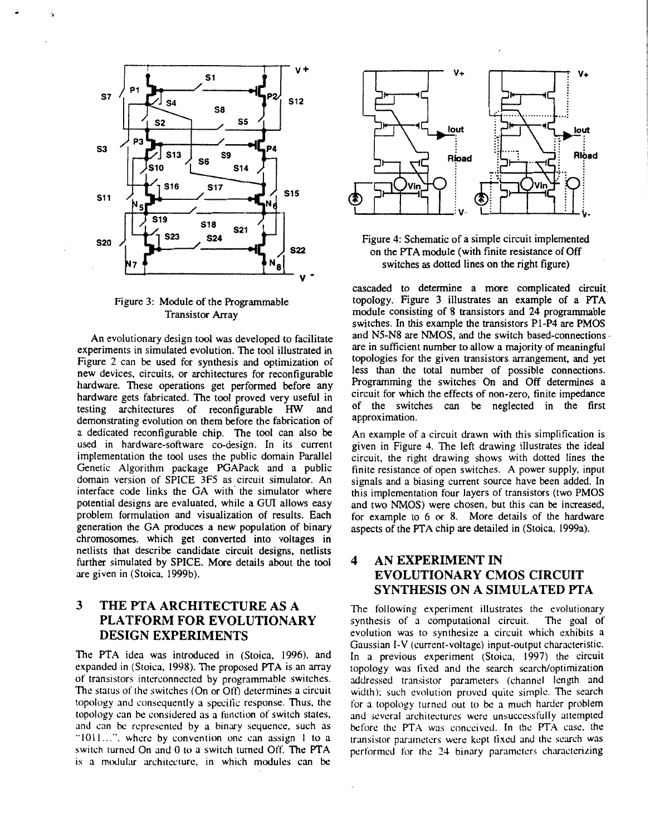

#### Figure **3:** Module of the Programmable Transistor Array

**An** evolutionary design tool was developed to facilitate experiments in simulated evolution. The tool illustrated in Figure **2** can be used for synthesis and optimization of new devices, circuits, or architectures for reconfigurable hardware. These operations get performed before any hardware gets fabricated. The tool proved very useful in testing architectures of reconfigurable HW and testing architectures of reconfigurable HW demonstrating evolution on them before the fabrication of a dedicated reconfigurable chip. The tool can also be used in hardware-software co-design. In its current implementation the tool uses the public domain Parallel Genetic Algorithm package PGAPack and a public domain version of SPICE **3F5** as circuit simulator. An interface code links the GA with' the simulator where potential designs are evaluated, while a GUI allows easy problem formulation and visualization of results. Each generation the GA produces a new population of binary chromosomes, which get converted into voltages in netlists that describe candidate circuit designs, netlists further simulated by SPICE. More details about the tool are given in (Stoica. 1999b).

# **3 THE PTA ARCHITECTURE AS A PLATFORM FOR EVOLUTIONARY DESIGN EXPERIMENTS**

The PTA idea was introduced in (Stoica, 1996), and expanded in (Stoica. 1998). The proposed **PTA** is an array of transistors interconnected by programmable switches. The status of the switches (On or Oft) determines a circuit topology and consequently a specific response. Thus, the topology can be considered as a function of switch states, and can bc represented by a binary sequence, such as "1011...", where by convention one can assign 1 to a switch turned On and *0* **to** a switch turned Off. The PTA is a modular architecture, in which modules can be



Figure **4:** Schematic of a simple circuit implemented on the **PTA** module (with finite resistance of Off switches as dotted lines on the right figure)

cascaded **to** determine a more complicated circuit. topology. Figure **3** illustrates an example of a **PTA**  module consisting of **8** transistors and 24 programmable switches. In this example the transistors P1-P4 are PMOS and **N5-N8** are **NMOS,** and the switch based-connections are in sufficient number to allow a majority of meaningful topologies for the given transistors arrangement, and yet less than the total number of possible connections. Programming the switches *On* and Off determines a circuit for which the effects of non-zero, finite impedance of the switches can be neglected in the first approximation.

**An** example of a circuit drawn with this simplification is given in Figure **4.** The left drawing illustrates the ideal circuit, the right drawing shows with dotted lines the finite resistance of open switches. A power supply, input signals and a biasing current source have been added. In this implementation four layers of transistors (two PMOS and two NMOS) were chosen, but this can be increased, for example to 6 *or* **8.** More details of the hardware aspects of the PTA chip are detailed in (Stoica, 1999a).

## **4 AN EXPERIMENT IN EVOLUTIONARY CMOS CIRCUIT SYNTHESIS ON A SIMULATED FTA**

The following experiment illustrates the evolutionary<br>synthesis of a computational circuit. The goal of synthesis of a computational circuit. evolution was to synthesize a circuit which exhibits a Gaussian I-V (current-voltage) input-output characteristic. In a previous experiment (Stoica, 1997) the circuit topology was fixed and the search search/optimization addressed transistor parameters (channel length and width); such evolution proved quite simple. The search for a topology turned out to bc a much harder problem and several architectures were unsuccessfully attempted before the PTA was conceived. In thc **PTA** case. the transistor parameters were kept fixed and the search was performed for the 24 binary parameters characterizing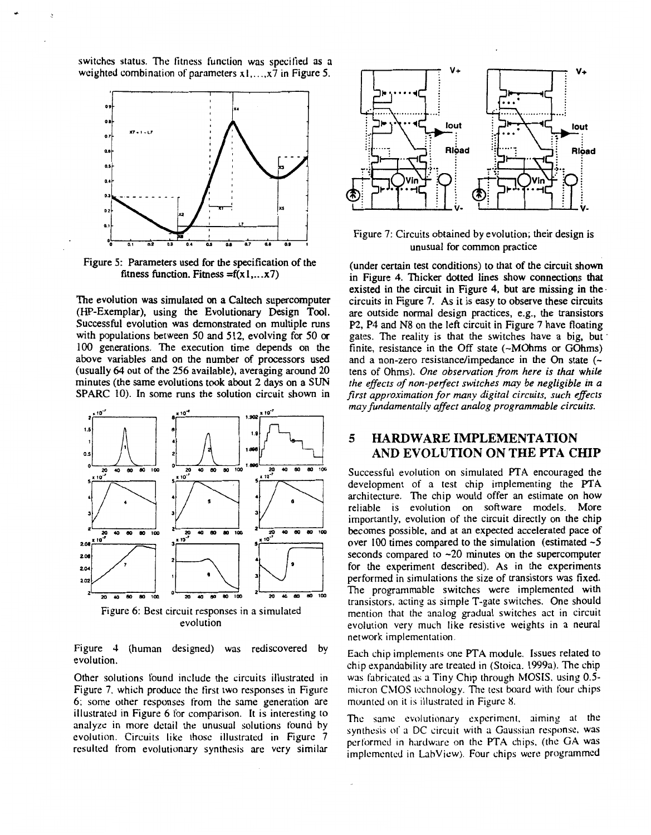switches status. The fitness function was specified **as** a weighted combination of parameters  $x_1, \ldots, x_7$  in Figure 5.



Figure **5:** Parameters used for the specification of the fitness function. Fitness = $f(x1,...x7)$ 

The evolution *was* simulated *on* **a** Caltech supercomputer (HP-Exemplar), using the Evolutionary Design **Tool.**  Successful evolution was demonstrated on multiple runs with populations between **50** and **512,** evolving for **50** *or*  100 generations. The execution time depends on the above variables and on the number of processors used (usually *64* out of the **256** available), averaging around **20**  minutes (the same evolutions took about **2** days on a **SUN**  SPARC IO). In some runs the solution circuit shown in



Figure **4** (human designed) was rediscovered by evolution.

Other solutions found include the circuits illustrated in Figure *7,* which produce the first two responses in Figure 6; some other responses from the same generation are illustrated in Figure 6 for comparison. It is interesting to analyze in more detail the unusual solutions found by evolution. Circuits like those illustrated in Figure **7**  resulted from evolutionary synthesis are very similar



Figure *7:* Circuits obtained by evolution; their design is unusual for common practice

(under certain test conditions) to that of the circuit shown in Figure **4.** Thicker dotted lines show connections that existed in the circuit in Figure **4,** but are missing in the. circuits in Figure *7.* **As** it is easy to observe these circuits are outside normal design practices, e.g., the transistors P2, **P4** and **N8** on the left circuit in Figure *7* have floating gates. The reality is that the switches have a big, but ' finite, resistance in the Off state (~MOhms or GOhms) and a non-zero resistance/impedance in the On state (~ tens of Ohms). *One observation from here is that while the efects of non-perfect switches may be negligible in a first approximation for many digital circuits, such effects may fundamentally affect analog programmable circuits.* 

## **5 HARDWARE IMPLEMENTATION AND EVOLUTION ON THE PTA CHIP**

Successful evolution on simulated PTA encouraged the development of a test chip implementing the **PTA**  architecture. The chip would offer an estimate on how reliable is evolution on software models. More importantly, evolution of the circuit directly on the chip becomes possible, and at an expected accelerated pace of over 100 times compared to the simulation (estimated **-5**  seconds compared to **-20** minutes on the supercomputer for the experiment described). **As** in the experiments performed in simulations the size of transistors was fixed. The programmable switches were implemented with transistors, acting as simple T-gate switches. One should mention that the analog gradual switches act in circuit evolution very much like resistive weights in a neural network implementation.

Each chip implements one **PTA** module. Issues related to chip expandability are treated in (Stoica. 1999a). The chip was fabricated as a Tiny Chip through MOSIS, using 0.5micron CMOS technology. The test board with four chips mounted on it is illustrated in Figure X.

The same evolutionary experiment. aiming at the synthesis of a DC circuit with a Gaussian response, was performed in hardware on the PTA chips. (the GA was implemented in Labview). Four chips were programmed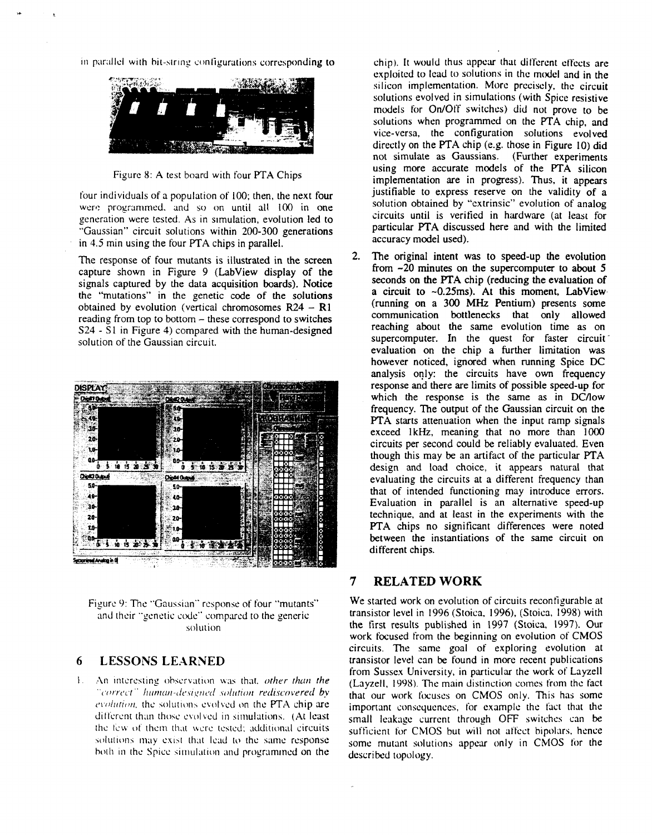in parallel with bit-string configurations corresponding to



Fiyurc 8: **A** test board with four **PTA** Chips

four individuals of a population of 100; then, the next four were programmed. and so on until all 100 in one generation were tested. **As** in smutation, evolution led **to**  "Gaussian" circuit solutions within 200-300 generations in 4.5 min using the four PTA chips in parallel.

The response of four mutants is illustrated in the screen capture shown in Figure 9 (LabView display of the signals captured by the data acquisition boards). Notice the "mutations" in the genetic code of the solutions obtained by evolution (vertical chromosomes **R24** - **R1**  reading from top to bottom – these correspond to switches S24 - S1 in Figure **4)** compared with the human-designed solution of the Gaussian circuit.





#### **6 LESSONS LE.ARNED**

 $\mathbf{L}$ An interesting observation was that, other than the "correct" human-designed solution rediscovered by evolution, the solutions evolved on the PTA chip are different than those evolved in simulations. (At least the few of them that were tested; additional circuits solutions may exist that lead to the same response both in the Spice simulation and programmed on the

chip). It would thus appear that different effects are exploited to lead to solutions in the model and in the silicon implementation. More precisely, the circuit solutions evolved in simulations (with Spice resistive models for On/Off switches) did not prove to be solutions when programmed on the **PTA** chip, and vice-versa, the configuration solutions evolved directly on the **PTA** chip (e.g. those in Figure 10) did not simulate as Gaussians. (Further experiments using more accurate models of the **PTA** silicon implementation are in progress). Thus, it appears justifiable to express reserve on the validity of **a**  solution obtained by "extrinsic" evolution of analog circuits until is verified in hardware **(at** least for particular **PTA** discussed here and with the limited accuracy model used).

2. The original intent was **to** speed-up the evolution from -20 minutes on the supercomputer **to** about **5**  seconds on the PTA chip (reducing the evaluation of **a** circuit **to** -0.25ms). **At** this moment, Labview. (running on a **300 MHz** Pentium) presents some communication bottlenecks that only allowed reaching about the same evolution time as on supercomputer. In the quest for faster circuit evaluation on the chip a further limitation was however noticed, ignored when running Spice **DC**  analysis only: the circuits have own frequency response and there are limits of possible speed-up for which the response is the same as in DC/low frequency. The output of the Gaussian circuit on the **PTA** starts attenuation when the input ramp signals exceed 1kHz, meaning that no more than 1000 circuits per second could be reliably evaluated. Even though this may be an artifact of the particular **FTA**  design and **load** choice, it appears natural that evaluating the circuits at a different frequency than that of intended functioning may introduce errors. Evaluation in parallel is an alternative speed-up technique, and **at** least in the experiments with the **PTA** chips no significant differences were noted between the instantiations of the same circuit on different chips.

## **7 RELATED WORK**

We started work on evolution of circuits recontigurable at transistor level in 1996 (Stoica, 1996). (Stoica, 1998) with the first results published in 1997 (Stoica. 1997). Our work focused from the beginning on evolution of CMOS circuits. The same goal of exploring evolution at transistor level can be found in more recent publications from Sussex University, in particular the work of Layzell (Layzell. 1998). The main distinction comes from the fact that our work focuses on CMOS only. This has some important consequences, for example the fact that the small leakage currcnt through OFF switches can be sufficient for CMOS but will not **affect** bipolars. hence some mutant solutions appear only in CMOS for the described topology.